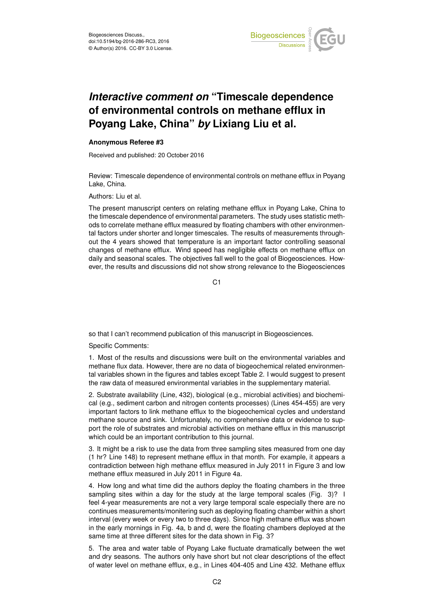

## *Interactive comment on* **"Timescale dependence of environmental controls on methane efflux in Poyang Lake, China"** *by* **Lixiang Liu et al.**

## **Anonymous Referee #3**

Received and published: 20 October 2016

Review: Timescale dependence of environmental controls on methane efflux in Poyang Lake, China.

Authors: Liu et al.

The present manuscript centers on relating methane efflux in Poyang Lake, China to the timescale dependence of environmental parameters. The study uses statistic methods to correlate methane efflux measured by floating chambers with other environmental factors under shorter and longer timescales. The results of measurements throughout the 4 years showed that temperature is an important factor controlling seasonal changes of methane efflux. Wind speed has negligible effects on methane efflux on daily and seasonal scales. The objectives fall well to the goal of Biogeosciences. However, the results and discussions did not show strong relevance to the Biogeosciences

C<sub>1</sub>

so that I can't recommend publication of this manuscript in Biogeosciences.

Specific Comments:

1. Most of the results and discussions were built on the environmental variables and methane flux data. However, there are no data of biogeochemical related environmental variables shown in the figures and tables except Table 2. I would suggest to present the raw data of measured environmental variables in the supplementary material.

2. Substrate availability (Line, 432), biological (e.g., microbial activities) and biochemical (e.g., sediment carbon and nitrogen contents processes) (Lines 454-455) are very important factors to link methane efflux to the biogeochemical cycles and understand methane source and sink. Unfortunately, no comprehensive data or evidence to support the role of substrates and microbial activities on methane efflux in this manuscript which could be an important contribution to this journal.

3. It might be a risk to use the data from three sampling sites measured from one day (1 hr? Line 148) to represent methane efflux in that month. For example, it appears a contradiction between high methane efflux measured in July 2011 in Figure 3 and low methane efflux measured in July 2011 in Figure 4a.

4. How long and what time did the authors deploy the floating chambers in the three sampling sites within a day for the study at the large temporal scales (Fig. 3)? I feel 4-year measurements are not a very large temporal scale especially there are no continues measurements/monitering such as deploying floating chamber within a short interval (every week or every two to three days). Since high methane efflux was shown in the early mornings in Fig. 4a, b and d, were the floating chambers deployed at the same time at three different sites for the data shown in Fig. 3?

5. The area and water table of Poyang Lake fluctuate dramatically between the wet and dry seasons. The authors only have short but not clear descriptions of the effect of water level on methane efflux, e.g., in Lines 404-405 and Line 432. Methane efflux